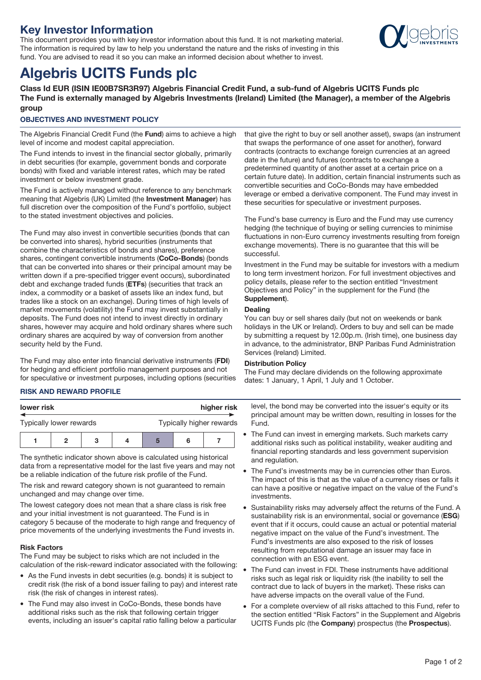## **Key Investor Information**

This document provides you with key investor information about this fund. It is not marketing material. The information is required by law to help you understand the nature and the risks of investing in this fund. You are advised to read it so you can make an informed decision about whether to invest.



# **Algebris UCITS Funds plc**

**Class Id EUR (ISIN IE00B7SR3R97) Algebris Financial Credit Fund, a sub-fund of Algebris UCITS Funds plc The Fund is externally managed by Algebris Investments (Ireland) Limited (the Manager), a member of the Algebris group**

## **OBJECTIVES AND INVESTMENT POLICY**

The Algebris Financial Credit Fund (the **Fund**) aims to achieve a high level of income and modest capital appreciation.

The Fund intends to invest in the financial sector globally, primarily in debt securities (for example, government bonds and corporate bonds) with fixed and variable interest rates, which may be rated investment or below investment grade.

The Fund is actively managed without reference to any benchmark meaning that Algebris (UK) Limited (the **Investment Manager**) has full discretion over the composition of the Fund's portfolio, subject to the stated investment objectives and policies.

The Fund may also invest in convertible securities (bonds that can be converted into shares), hybrid securities (instruments that combine the characteristics of bonds and shares), preference shares, contingent convertible instruments (**CoCo-Bonds**) (bonds that can be converted into shares or their principal amount may be written down if a pre-specified trigger event occurs), subordinated debt and exchange traded funds (**ETFs**) (securities that track an index, a commodity or a basket of assets like an index fund, but trades like a stock on an exchange). During times of high levels of market movements (volatility) the Fund may invest substantially in deposits. The Fund does not intend to invest directly in ordinary shares, however may acquire and hold ordinary shares where such ordinary shares are acquired by way of conversion from another security held by the Fund.

The Fund may also enter into financial derivative instruments (**FDI**) for hedging and efficient portfolio management purposes and not for speculative or investment purposes, including options (securities

## **RISK AND REWARD PROFILE**

| lower risk              |  |  |  | higher risk              |  |  |  |
|-------------------------|--|--|--|--------------------------|--|--|--|
| Typically lower rewards |  |  |  | Typically higher rewards |  |  |  |
|                         |  |  |  | 5                        |  |  |  |

The synthetic indicator shown above is calculated using historical data from a representative model for the last five years and may not be a reliable indication of the future risk profile of the Fund.

The risk and reward category shown is not guaranteed to remain unchanged and may change over time.

The lowest category does not mean that a share class is risk free and your initial investment is not guaranteed. The Fund is in category 5 because of the moderate to high range and frequency of price movements of the underlying investments the Fund invests in.

#### **Risk Factors**

The Fund may be subject to risks which are not included in the calculation of the risk-reward indicator associated with the following:

- As the Fund invests in debt securities (e.g. bonds) it is subject to credit risk (the risk of a bond issuer failing to pay) and interest rate risk (the risk of changes in interest rates).
- The Fund may also invest in CoCo-Bonds, these bonds have additional risks such as the risk that following certain trigger events, including an issuer's capital ratio falling below a particular

that give the right to buy or sell another asset), swaps (an instrument that swaps the performance of one asset for another), forward contracts (contracts to exchange foreign currencies at an agreed date in the future) and futures (contracts to exchange a predetermined quantity of another asset at a certain price on a certain future date). In addition, certain financial instruments such as convertible securities and CoCo-Bonds may have embedded leverage or embed a derivative component. The Fund may invest in these securities for speculative or investment purposes.

The Fund's base currency is Euro and the Fund may use currency hedging (the technique of buying or selling currencies to minimise fluctuations in non-Euro currency investments resulting from foreign exchange movements). There is no guarantee that this will be successful.

Investment in the Fund may be suitable for investors with a medium to long term investment horizon. For full investment objectives and policy details, please refer to the section entitled "Investment Objectives and Policy" in the supplement for the Fund (the **Supplement**).

## **Dealing**

You can buy or sell shares daily (but not on weekends or bank holidays in the UK or Ireland). Orders to buy and sell can be made by submitting a request by 12.00p.m. (Irish time), one business day in advance, to the administrator, BNP Paribas Fund Administration Services (Ireland) Limited.

## **Distribution Policy**

The Fund may declare dividends on the following approximate dates: 1 January, 1 April, 1 July and 1 October.

level, the bond may be converted into the issuer's equity or its principal amount may be written down, resulting in losses for the Fund.

- The Fund can invest in emerging markets. Such markets carry additional risks such as political instability, weaker auditing and financial reporting standards and less government supervision and regulation.
- The Fund's investments may be in currencies other than Euros. The impact of this is that as the value of a currency rises or falls it can have a positive or negative impact on the value of the Fund's investments.
- Sustainability risks may adversely affect the returns of the Fund. A sustainability risk is an environmental, social or governance (**ESG**) event that if it occurs, could cause an actual or potential material negative impact on the value of the Fund's investment. The Fund's investments are also exposed to the risk of losses resulting from reputational damage an issuer may face in connection with an ESG event.
- The Fund can invest in FDI. These instruments have additional risks such as legal risk or liquidity risk (the inability to sell the contract due to lack of buyers in the market). These risks can have adverse impacts on the overall value of the Fund.
- For a complete overview of all risks attached to this Fund, refer to the section entitled "Risk Factors" in the Supplement and Algebris UCITS Funds plc (the **Company**) prospectus (the **Prospectus**).